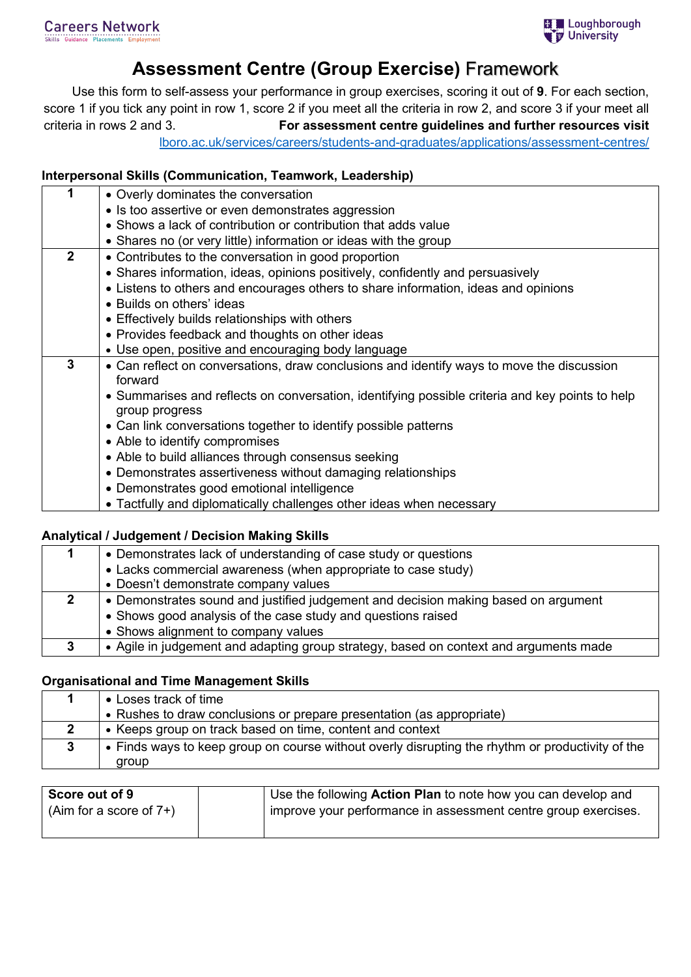# **Assessment Centre (Group Exercise)** Framework

Use this form to self-assess your performance in group exercises, scoring it out of **9**. For each section, score 1 if you tick any point in row 1, score 2 if you meet all the criteria in row 2, and score 3 if your meet all criteria in rows 2 and 3. **For assessment centre guidelines and further resources visit** 

[lboro.ac.uk/services/careers/students-and-graduates/applications/assessment-centres/](https://www.lboro.ac.uk/services/careers/students-and-graduates/applications/assessment-centres/)

### **Interpersonal Skills (Communication, Teamwork, Leadership)**

| 1            | • Overly dominates the conversation                                                                               |  |  |  |  |
|--------------|-------------------------------------------------------------------------------------------------------------------|--|--|--|--|
|              | • Is too assertive or even demonstrates aggression                                                                |  |  |  |  |
|              | • Shows a lack of contribution or contribution that adds value                                                    |  |  |  |  |
|              | • Shares no (or very little) information or ideas with the group                                                  |  |  |  |  |
| $\mathbf{2}$ | • Contributes to the conversation in good proportion                                                              |  |  |  |  |
|              | • Shares information, ideas, opinions positively, confidently and persuasively                                    |  |  |  |  |
|              | • Listens to others and encourages others to share information, ideas and opinions                                |  |  |  |  |
|              | • Builds on others' ideas                                                                                         |  |  |  |  |
|              | • Effectively builds relationships with others                                                                    |  |  |  |  |
|              | • Provides feedback and thoughts on other ideas                                                                   |  |  |  |  |
|              | • Use open, positive and encouraging body language                                                                |  |  |  |  |
| 3            | • Can reflect on conversations, draw conclusions and identify ways to move the discussion<br>forward              |  |  |  |  |
|              | • Summarises and reflects on conversation, identifying possible criteria and key points to help<br>group progress |  |  |  |  |
|              | • Can link conversations together to identify possible patterns                                                   |  |  |  |  |
|              | • Able to identify compromises                                                                                    |  |  |  |  |
|              | • Able to build alliances through consensus seeking                                                               |  |  |  |  |
|              | • Demonstrates assertiveness without damaging relationships                                                       |  |  |  |  |
|              | • Demonstrates good emotional intelligence                                                                        |  |  |  |  |
|              | • Tactfully and diplomatically challenges other ideas when necessary                                              |  |  |  |  |

#### **Analytical / Judgement / Decision Making Skills**

| • Demonstrates lack of understanding of case study or questions                       |  |  |
|---------------------------------------------------------------------------------------|--|--|
| • Lacks commercial awareness (when appropriate to case study)                         |  |  |
| • Doesn't demonstrate company values                                                  |  |  |
| • Demonstrates sound and justified judgement and decision making based on argument    |  |  |
| • Shows good analysis of the case study and questions raised                          |  |  |
| • Shows alignment to company values                                                   |  |  |
| • Agile in judgement and adapting group strategy, based on context and arguments made |  |  |

#### **Organisational and Time Management Skills**

| • Loses track of time                                                                                     |
|-----------------------------------------------------------------------------------------------------------|
| • Rushes to draw conclusions or prepare presentation (as appropriate)                                     |
| • Keeps group on track based on time, content and context                                                 |
| • Finds ways to keep group on course without overly disrupting the rhythm or productivity of the<br>aroup |

| Score out of 9             | Use the following Action Plan to note how you can develop and  |
|----------------------------|----------------------------------------------------------------|
| (Aim for a score of $7+$ ) | improve your performance in assessment centre group exercises. |
|                            |                                                                |